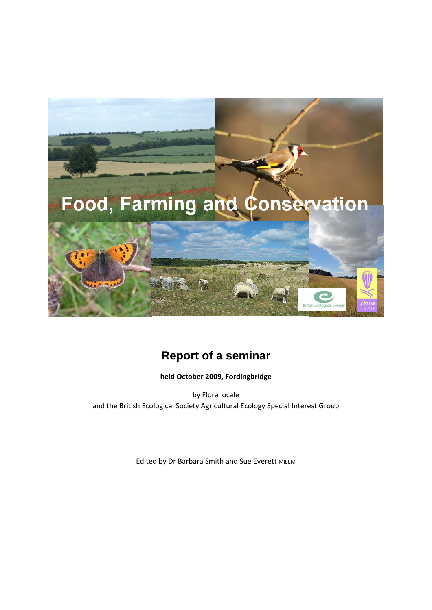

# **Report of a seminar**

**held October 2009, Fordingbridge**

by Flora locale and the British Ecological Society Agricultural Ecology Special Interest Group

Edited by Dr Barbara Smith and Sue Everett MIEEM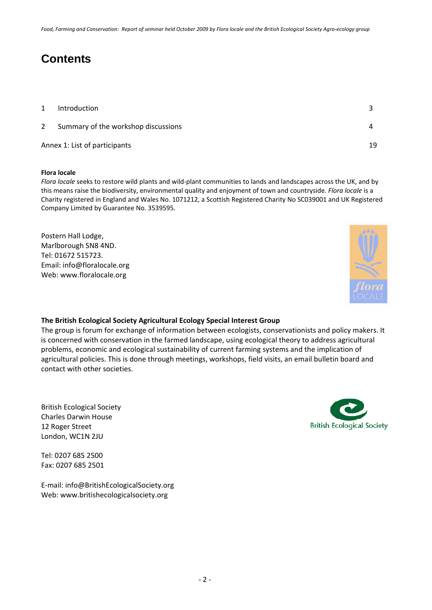Food, Farmina and Conservation: Report of seminar held October 2009 by Flora locale and the British Ecological Society Aaro-ecology aroup

# **Contents**

| $\mathbf{1}$                  | Introduction                        |    |
|-------------------------------|-------------------------------------|----|
| $\overline{2}$                | Summary of the workshop discussions |    |
| Annex 1: List of participants |                                     | 19 |

#### **Flora locale**

*Flora locale* seeks to restore wild plants and wild‐plant communities to lands and landscapes across the UK, and by this means raise the biodiversity, environmental quality and enjoyment of town and countryside*. Flora locale* is a Charity registered in England and Wales No. 1071212, a Scottish Registered Charity No SC039001 and UK Registered Company Limited by Guarantee No. 3539595.

Postern Hall Lodge, Marlborough SN8 4ND. Tel: 01672 515723. Email: info@floralocale.org Web: www.floralocale.org



#### **The British Ecological Society Agricultural Ecology Special Interest Group**

The group is forum for exchange of information between ecologists, conservationists and policy makers. It is concerned with conservation in the farmed landscape, using ecological theory to address agricultural problems, economic and ecological sustainability of current farming systems and the implication of agricultural policies. This is done through meetings, workshops, field visits, an email bulletin board and contact with other societies.

British Ecological Society Charles Darwin House 12 Roger Street London, WC1N 2JU

Tel: 0207 685 2500 Fax: 0207 685 2501

E‐mail: info@BritishEcologicalSociety.org Web: www.britishecologicalsociety.org

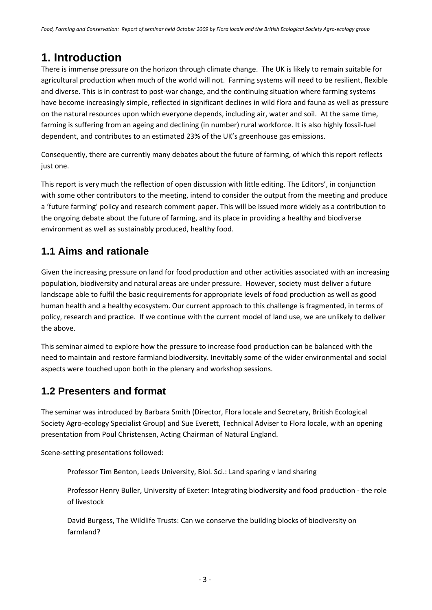# **1. Introduction**

There is immense pressure on the horizon through climate change. The UK is likely to remain suitable for agricultural production when much of the world will not. Farming systems will need to be resilient, flexible and diverse. This is in contrast to post-war change, and the continuing situation where farming systems have become increasingly simple, reflected in significant declines in wild flora and fauna as well as pressure on the natural resources upon which everyone depends, including air, water and soil. At the same time, farming is suffering from an ageing and declining (in number) rural workforce. It is also highly fossil-fuel dependent, and contributes to an estimated 23% of the UK's greenhouse gas emissions.

Consequently, there are currently many debates about the future of farming, of which this report reflects just one.

This report is very much the reflection of open discussion with little editing. The Editors', in conjunction with some other contributors to the meeting, intend to consider the output from the meeting and produce a 'future farming' policy and research comment paper. This will be issued more widely as a contribution to the ongoing debate about the future of farming, and its place in providing a healthy and biodiverse environment as well as sustainably produced, healthy food.

## **1.1 Aims and rationale**

Given the increasing pressure on land for food production and other activities associated with an increasing population, biodiversity and natural areas are under pressure. However, society must deliver a future landscape able to fulfil the basic requirements for appropriate levels of food production as well as good human health and a healthy ecosystem. Our current approach to this challenge is fragmented, in terms of policy, research and practice. If we continue with the current model of land use, we are unlikely to deliver the above.

This seminar aimed to explore how the pressure to increase food production can be balanced with the need to maintain and restore farmland biodiversity. Inevitably some of the wider environmental and social aspects were touched upon both in the plenary and workshop sessions.

## **1.2 Presenters and format**

The seminar was introduced by Barbara Smith (Director, Flora locale and Secretary, British Ecological Society Agro‐ecology Specialist Group) and Sue Everett, Technical Adviser to Flora locale, with an opening presentation from Poul Christensen, Acting Chairman of Natural England.

Scene‐setting presentations followed:

Professor Tim Benton, Leeds University, Biol. Sci.: Land sparing v land sharing

Professor Henry Buller, University of Exeter: Integrating biodiversity and food production ‐ the role of livestock

David Burgess, The Wildlife Trusts: Can we conserve the building blocks of biodiversity on farmland?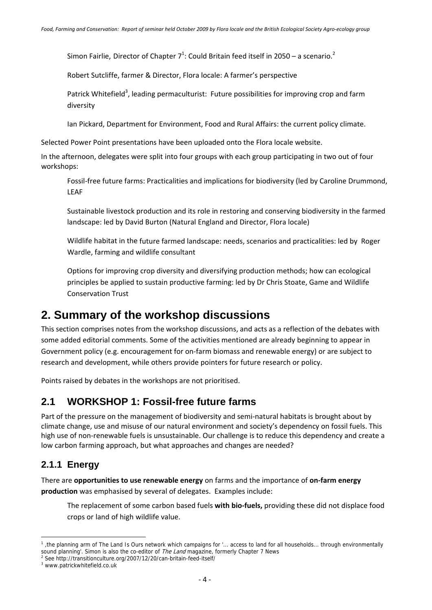Simon Fairlie, Director of Chapter  $7<sup>1</sup>$ : Could Britain feed itself in 2050 – a scenario.<sup>2</sup>

Robert Sutcliffe, farmer & Director, Flora locale: A farmer's perspective

Patrick Whitefield<sup>3</sup>, leading permaculturist: Future possibilities for improving crop and farm diversity

Ian Pickard, Department for Environment, Food and Rural Affairs: the current policy climate.

Selected Power Point presentations have been uploaded onto the Flora locale website.

In the afternoon, delegates were split into four groups with each group participating in two out of four workshops:

Fossil‐free future farms: Practicalities and implications for biodiversity (led by Caroline Drummond, LEAF

Sustainable livestock production and its role in restoring and conserving biodiversity in the farmed landscape: led by David Burton (Natural England and Director, Flora locale)

Wildlife habitat in the future farmed landscape: needs, scenarios and practicalities: led by Roger Wardle, farming and wildlife consultant

Options for improving crop diversity and diversifying production methods; how can ecological principles be applied to sustain productive farming: led by Dr Chris Stoate, Game and Wildlife Conservation Trust

## **2. Summary of the workshop discussions**

This section comprises notes from the workshop discussions, and acts as a reflection of the debates with some added editorial comments. Some of the activities mentioned are already beginning to appear in Government policy (e.g. encouragement for on-farm biomass and renewable energy) or are subject to research and development, while others provide pointers for future research or policy.

Points raised by debates in the workshops are not prioritised.

## **2.1 WORKSHOP 1: Fossil-free future farms**

Part of the pressure on the management of biodiversity and semi-natural habitats is brought about by climate change, use and misuse of our natural environment and society's dependency on fossil fuels. This high use of non-renewable fuels is unsustainable. Our challenge is to reduce this dependency and create a low carbon farming approach, but what approaches and changes are needed?

#### **2.1.1 Energy**

There are **opportunities to use renewable energy** on farms and the importance of **on‐farm energy production** was emphasised by several of delegates. Examples include:

The replacement of some carbon based fuels **with bio‐fuels,** providing these did not displace food crops or land of high wildlife value.

<sup>&</sup>lt;sup>1</sup>, the planning arm of The Land Is Ours network which campaigns for '... access to land for all households... through environmentally sound planning'. Simon is also the co-editor of *The Land* magazine, formerly Chapter 7 News

<sup>&</sup>lt;sup>2</sup> See http://transitionculture.org/2007/12/20/can-britain-feed-itself/

<sup>3</sup> www.patrickwhitefield.co.uk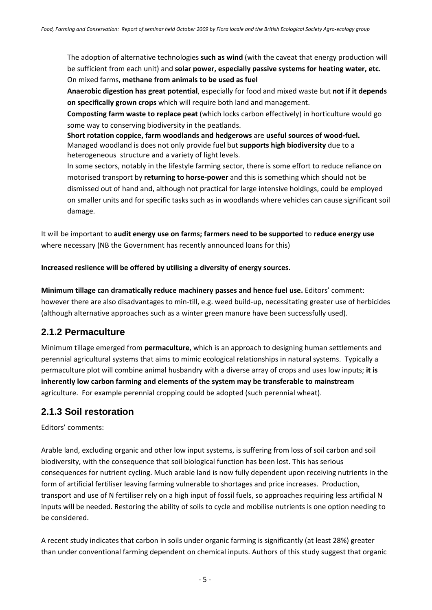The adoption of alternative technologies **such as wind** (with the caveat that energy production will be sufficient from each unit) and **solar power, especially passive systems for heating water, etc.**  On mixed farms, **methane from animals to be used as fuel**

**Anaerobic digestion has great potential**, especially for food and mixed waste but **not if it depends on specifically grown crops** which will require both land and management.

**Composting farm waste to replace peat** (which locks carbon effectively) in horticulture would go some way to conserving biodiversity in the peatlands.

**Short rotation coppice, farm woodlands and hedgerows** are **useful sources of wood‐fuel.** Managed woodland is does not only provide fuel but **supports high biodiversity** due to a heterogeneous structure and a variety of light levels.

In some sectors, notably in the lifestyle farming sector, there is some effort to reduce reliance on motorised transport by **returning to horse‐power** and this is something which should not be dismissed out of hand and, although not practical for large intensive holdings, could be employed on smaller units and for specific tasks such as in woodlands where vehicles can cause significant soil damage.

It will be important to **audit energy use on farms; farmers need to be supported** to **reduce energy use** where necessary (NB the Government has recently announced loans for this)

**Increased reslience will be offered by utilising a diversity of energy sources**.

**Minimum tillage can dramatically reduce machinery passes and hence fuel use.** Editors' comment: however there are also disadvantages to min‐till, e.g. weed build‐up, necessitating greater use of herbicides (although alternative approaches such as a winter green manure have been successfully used).

## **2.1.2 Permaculture**

Minimum tillage emerged from **permaculture**, which is an approach to designing human settlements and perennial agricultural systems that aims to mimic ecological relationships in natural systems. Typically a permaculture plot will combine animal husbandry with a diverse array of crops and uses low inputs; **it is inherently low carbon farming and elements of the system may be transferable to mainstream** agriculture. For example perennial cropping could be adopted (such perennial wheat).

#### **2.1.3 Soil restoration**

Editors' comments:

Arable land, excluding organic and other low input systems, is suffering from loss of soil carbon and soil biodiversity, with the consequence that soil biological function has been lost. This has serious consequences for nutrient cycling. Much arable land is now fully dependent upon receiving nutrients in the form of artificial fertiliser leaving farming vulnerable to shortages and price increases. Production, transport and use of N fertiliser rely on a high input of fossil fuels, so approaches requiring less artificial N inputs will be needed. Restoring the ability of soils to cycle and mobilise nutrients is one option needing to be considered.

A recent study indicates that carbon in soils under organic farming is significantly (at least 28%) greater than under conventional farming dependent on chemical inputs. Authors of this study suggest that organic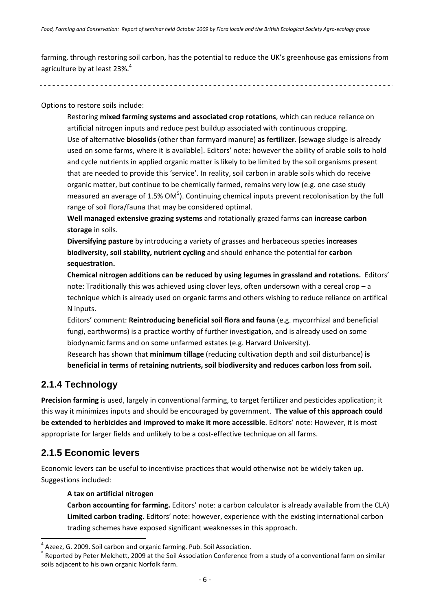farming, through restoring soil carbon, has the potential to reduce the UK's greenhouse gas emissions from agriculture by at least 23%. $^4$ 

Options to restore soils include:

Restoring **mixed farming systems and associated crop rotations**, which can reduce reliance on artificial nitrogen inputs and reduce pest buildup associated with continuous cropping. Use of alternative **biosolids** (other than farmyard manure) **as fertilizer**. [sewage sludge is already used on some farms, where it is available]. Editors' note: however the ability of arable soils to hold and cycle nutrients in applied organic matter is likely to be limited by the soil organisms present that are needed to provide this 'service'. In reality, soil carbon in arable soils which do receive organic matter, but continue to be chemically farmed, remains very low (e.g. one case study measured an average of 1.5% OM<sup>5</sup>). Continuing chemical inputs prevent recolonisation by the full range of soil flora/fauna that may be considered optimal.

**Well managed extensive grazing systems** and rotationally grazed farms can **increase carbon storage** in soils.

**Diversifying pasture** by introducing a variety of grasses and herbaceous species **increases biodiversity, soil stability, nutrient cycling** and should enhance the potential for **carbon sequestration.**

**Chemical nitrogen additions can be reduced by using legumes in grassland and rotations.** Editors' note: Traditionally this was achieved using clover leys, often undersown with a cereal crop – a technique which is already used on organic farms and others wishing to reduce reliance on artifical N inputs.

Editors' comment: **Reintroducing beneficial soil flora and fauna** (e.g. mycorrhizal and beneficial fungi, earthworms) is a practice worthy of further investigation, and is already used on some biodynamic farms and on some unfarmed estates (e.g. Harvard University).

Research has shown that **minimum tillage** (reducing cultivation depth and soil disturbance) **is beneficial in terms of retaining nutrients, soil biodiversity and reduces carbon loss from soil.**

## **2.1.4 Technology**

**Precision farming** is used, largely in conventional farming, to target fertilizer and pesticides application; it this way it minimizes inputs and should be encouraged by government. **The value of this approach could be extended to herbicides and improved to make it more accessible**. Editors' note: However, it is most appropriate for larger fields and unlikely to be a cost-effective technique on all farms.

## **2.1.5 Economic levers**

Economic levers can be useful to incentivise practices that would otherwise not be widely taken up. Suggestions included:

**A tax on artificial nitrogen**

**Carbon accounting for farming.** Editors' note: a carbon calculator is already available from the CLA) **Limited carbon trading.** Editors' note: however, experience with the existing international carbon trading schemes have exposed significant weaknesses in this approach.

<sup>&</sup>lt;sup>4</sup> Azeez, G. 2009. Soil carbon and organic farming. Pub. Soil Association.<br><sup>5</sup> Reported by Peter Melchett, 2009 at the Soil Association Conference from a study of a conventional farm on similar soils adjacent to his own organic Norfolk farm.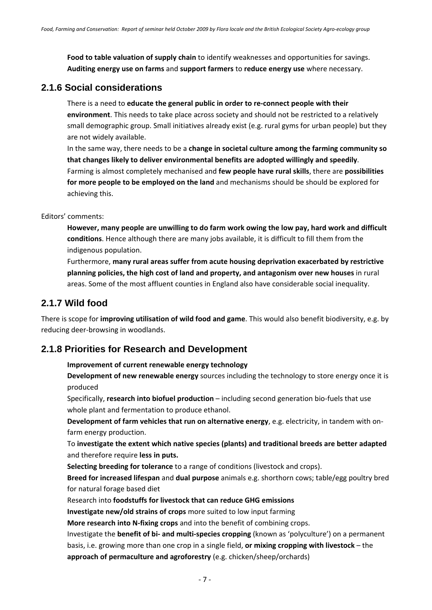**Food to table valuation of supply chain** to identify weaknesses and opportunities for savings. **Auditing energy use on farms** and **support farmers** to **reduce energy use** where necessary.

#### **2.1.6 Social considerations**

There is a need to **educate the general public in order to re‐connect people with their environment**. This needs to take place across society and should not be restricted to a relatively small demographic group. Small initiatives already exist (e.g. rural gyms for urban people) but they are not widely available.

In the same way, there needs to be a **change in societal culture among the farming community so that changes likely to deliver environmental benefits are adopted willingly and speedily**. Farming is almost completely mechanised and **few people have rural skills**, there are **possibilities for more people to be employed on the land** and mechanisms should be should be explored for achieving this.

Editors' comments:

**However, many people are unwilling to do farm work owing the low pay, hard work and difficult conditions**. Hence although there are many jobs available, it is difficult to fill them from the indigenous population.

Furthermore, **many rural areas suffer from acute housing deprivation exacerbated by restrictive planning policies, the high cost of land and property, and antagonism over new houses** in rural areas. Some of the most affluent counties in England also have considerable social inequality.

#### **2.1.7 Wild food**

There is scope for **improving utilisation of wild food and game**. This would also benefit biodiversity, e.g. by reducing deer‐browsing in woodlands.

## **2.1.8 Priorities for Research and Development**

**Improvement of current renewable energy technology** 

**Development of new renewable energy** sources including the technology to store energy once it is produced

Specifically, **research into biofuel production** – including second generation bio‐fuels that use whole plant and fermentation to produce ethanol.

**Development of farm vehicles that run on alternative energy**, e.g. electricity, in tandem with on‐ farm energy production.

To **investigate the extent which native species (plants) and traditional breeds are better adapted** and therefore require **less in puts.**

**Selecting breeding for tolerance** to a range of conditions (livestock and crops).

**Breed for increased lifespan** and **dual purpose** animals e.g. shorthorn cows; table/egg poultry bred for natural forage based diet

Research into **foodstuffs for livestock that can reduce GHG emissions**

**Investigate new/old strains of crops** more suited to low input farming

**More research into N‐fixing crops** and into the benefit of combining crops.

Investigate the **benefit of bi‐ and multi‐species cropping** (known as 'polyculture') on a permanent basis, i.e. growing more than one crop in a single field, **or mixing cropping with livestock** – the **approach of permaculture and agroforestry** (e.g. chicken/sheep/orchards)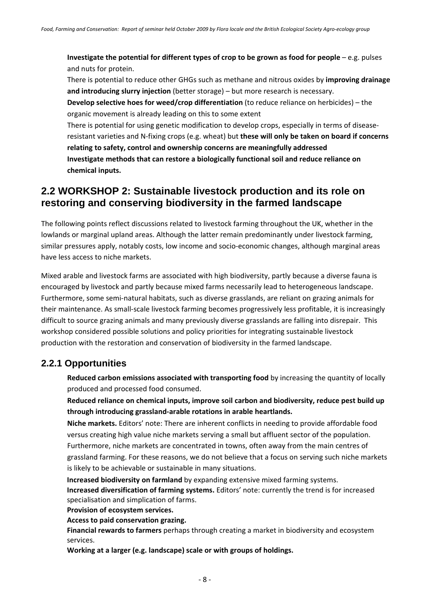**Investigate the potential for different types of crop to be grown as food for people** – e.g. pulses and nuts for protein.

There is potential to reduce other GHGs such as methane and nitrous oxides by **improving drainage and introducing slurry injection** (better storage) – but more research is necessary.

**Develop selective hoes for weed/crop differentiation** (to reduce reliance on herbicides) – the organic movement is already leading on this to some extent

There is potential for using genetic modification to develop crops, especially in terms of disease‐ resistant varieties and N‐fixing crops (e.g. wheat) but **these will only be taken on board if concerns relating to safety, control and ownership concerns are meaningfully addressed Investigate methods that can restore a biologically functional soil and reduce reliance on chemical inputs.**

## **2.2 WORKSHOP 2: Sustainable livestock production and its role on restoring and conserving biodiversity in the farmed landscape**

The following points reflect discussions related to livestock farming throughout the UK, whether in the lowlands or marginal upland areas. Although the latter remain predominantly under livestock farming, similar pressures apply, notably costs, low income and socio-economic changes, although marginal areas have less access to niche markets.

Mixed arable and livestock farms are associated with high biodiversity, partly because a diverse fauna is encouraged by livestock and partly because mixed farms necessarily lead to heterogeneous landscape. Furthermore, some semi‐natural habitats, such as diverse grasslands, are reliant on grazing animals for their maintenance. As small‐scale livestock farming becomes progressively less profitable, it is increasingly difficult to source grazing animals and many previously diverse grasslands are falling into disrepair. This workshop considered possible solutions and policy priorities for integrating sustainable livestock production with the restoration and conservation of biodiversity in the farmed landscape.

## **2.2.1 Opportunities**

**Reduced carbon emissions associated with transporting food** by increasing the quantity of locally produced and processed food consumed.

**Reduced reliance on chemical inputs, improve soil carbon and biodiversity, reduce pest build up through introducing grassland‐arable rotations in arable heartlands.**

**Niche markets.** Editors' note: There are inherent conflicts in needing to provide affordable food versus creating high value niche markets serving a small but affluent sector of the population. Furthermore, niche markets are concentrated in towns, often away from the main centres of grassland farming. For these reasons, we do not believe that a focus on serving such niche markets is likely to be achievable or sustainable in many situations.

**Increased biodiversity on farmland** by expanding extensive mixed farming systems. **Increased diversification of farming systems.** Editors' note: currently the trend is for increased specialisation and simplication of farms.

**Provision of ecosystem services.**

**Access to paid conservation grazing.**

**Financial rewards to farmers** perhaps through creating a market in biodiversity and ecosystem services.

**Working at a larger (e.g. landscape) scale or with groups of holdings.**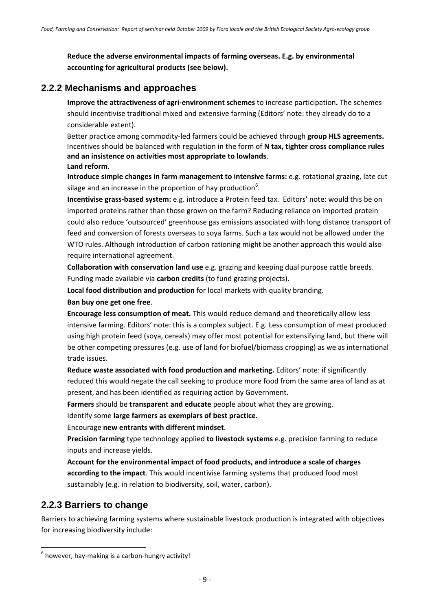**Reduce the adverse environmental impacts of farming overseas. E.g. by environmental accounting for agricultural products (see below).**

### **2.2.2 Mechanisms and approaches**

**Improve the attractiveness of agri‐environment schemes** to increase participation**.** The schemes should incentivise traditional mixed and extensive farming (Editors' note: they already do to a considerable extent).

Better practice among commodity‐led farmers could be achieved through **group HLS agreements.** Incentives should be balanced with regulation in the form of **N tax, tighter cross compliance rules and an insistence on activities most appropriate to lowlands**. **Land reform**.

**Introduce simple changes in farm management to intensive farms:** e.g. rotational grazing, late cut silage and an increase in the proportion of hay production<sup>6</sup>.

**Incentivise grass‐based system:** e.g. introduce a Protein feed tax. Editors' note: would this be on imported proteins rather than those grown on the farm? Reducing reliance on imported protein could also reduce 'outsourced' greenhouse gas emissions associated with long distance transport of feed and conversion of forests overseas to soya farms. Such a tax would not be allowed under the WTO rules. Although introduction of carbon rationing might be another approach this would also require international agreement.

**Collaboration with conservation land use** e.g. grazing and keeping dual purpose cattle breeds. Funding made available via **carbon credits** (to fund grazing projects).

**Local food distribution and production** for local markets with quality branding.

#### **Ban buy one get one free**.

**Encourage less consumption of meat.** This would reduce demand and theoretically allow less intensive farming. Editors' note: this is a complex subject. E.g. Less consumption of meat produced using high protein feed (soya, cereals) may offer most potential for extensifying land, but there will be other competing pressures (e.g. use of land for biofuel/biomass cropping) as we as international trade issues.

**Reduce waste associated with food production and marketing.** Editors' note: if significantly reduced this would negate the call seeking to produce more food from the same area of land as at present, and has been identified as requiring action by Government.

**Farmers** should be **transparent and educate** people about what they are growing.

Identify some **large farmers as exemplars of best practice**.

Encourage **new entrants with different mindset**.

**Precision farming** type technology applied **to livestock systems** e.g. precision farming to reduce inputs and increase yields.

**Account for the environmental impact of food products, and introduce a scale of charges according to the impact**. This would incentivise farming systems that produced food most sustainably (e.g. in relation to biodiversity, soil, water, carbon).

## **2.2.3 Barriers to change**

Barriers to achieving farming systems where sustainable livestock production is integrated with objectives for increasing biodiversity include:

 $6$  however, hay-making is a carbon-hungry activity!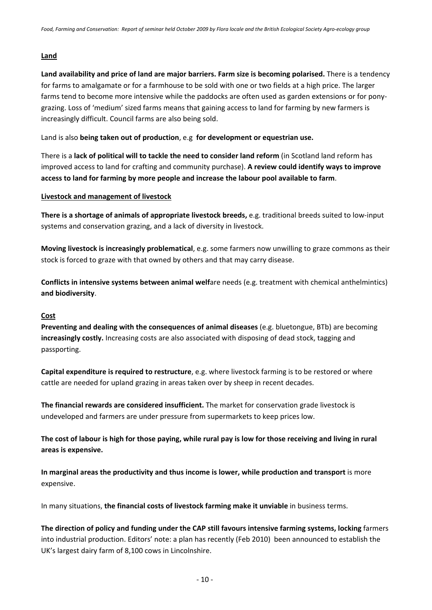#### **Land**

**Land availability and price of land are major barriers. Farm size is becoming polarised.** There is a tendency for farms to amalgamate or for a farmhouse to be sold with one or two fields at a high price. The larger farms tend to become more intensive while the paddocks are often used as garden extensions or for ponygrazing. Loss of 'medium' sized farms means that gaining access to land for farming by new farmers is increasingly difficult. Council farms are also being sold.

Land is also **being taken out of production**, e.g **for development or equestrian use.**

There is a **lack of political will to tackle the need to consider land reform** (in Scotland land reform has improved access to land for crafting and community purchase). **A review could identify ways to improve access to land for farming by more people and increase the labour pool available to farm**.

#### **Livestock and management of livestock**

**There is a shortage of animals of appropriate livestock breeds,** e.g. traditional breeds suited to low‐input systems and conservation grazing, and a lack of diversity in livestock.

**Moving livestock is increasingly problematical**, e.g. some farmers now unwilling to graze commons as their stock is forced to graze with that owned by others and that may carry disease.

**Conflicts in intensive systems between animal welf**are needs (e.g. treatment with chemical anthelmintics) **and biodiversity**.

#### **Cost**

**Preventing and dealing with the consequences of animal diseases** (e.g. bluetongue, BTb) are becoming **increasingly costly.** Increasing costs are also associated with disposing of dead stock, tagging and passporting.

**Capital expenditure is required to restructure**, e.g. where livestock farming is to be restored or where cattle are needed for upland grazing in areas taken over by sheep in recent decades.

**The financial rewards are considered insufficient.** The market for conservation grade livestock is undeveloped and farmers are under pressure from supermarkets to keep prices low.

The cost of labour is high for those paying, while rural pay is low for those receiving and living in rural **areas is expensive.**

**In marginal areas the productivity and thus income is lower, while production and transport** is more expensive.

In many situations, **the financial costs of livestock farming make it unviable** in business terms.

**The direction of policy and funding under the CAP still favours intensive farming systems, locking** farmers into industrial production. Editors' note: a plan has recently (Feb 2010) been announced to establish the UK's largest dairy farm of 8,100 cows in Lincolnshire.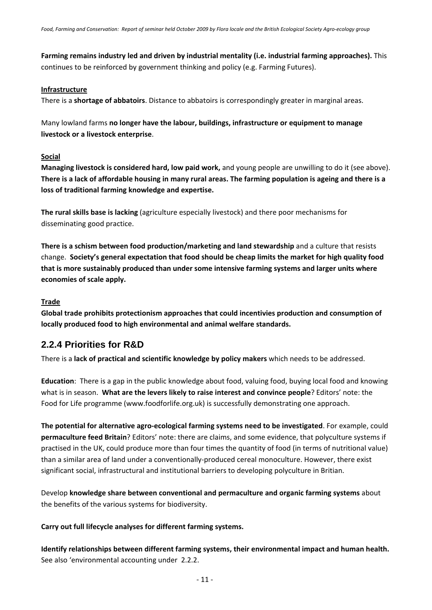**Farming remains industry led and driven by industrial mentality (i.e. industrial farming approaches).** This continues to be reinforced by government thinking and policy (e.g. Farming Futures).

#### **Infrastructure**

There is a **shortage of abbatoirs**. Distance to abbatoirs is correspondingly greater in marginal areas.

Many lowland farms **no longer have the labour, buildings, infrastructure or equipment to manage livestock or a livestock enterprise**.

#### **Social**

**Managing livestock is considered hard, low paid work,** and young people are unwilling to do it (see above). There is a lack of affordable housing in many rural areas. The farming population is ageing and there is a **loss of traditional farming knowledge and expertise.**

**The rural skills base is lacking** (agriculture especially livestock) and there poor mechanisms for disseminating good practice.

**There is a schism between food production/marketing and land stewardship** and a culture that resists change. **Society's general expectation that food should be cheap limits the market for high quality food that is more sustainably produced than under some intensive farming systems and larger units where economies of scale apply.**

#### **Trade**

**Global trade prohibits protectionism approaches that could incentivies production and consumption of locally produced food to high environmental and animal welfare standards.**

#### **2.2.4 Priorities for R&D**

There is a **lack of practical and scientific knowledge by policy makers** which needs to be addressed.

**Education**: There is a gap in the public knowledge about food, valuing food, buying local food and knowing what is in season. **What are the levers likely to raise interest and convince people**? Editors' note: the Food for Life programme (www.foodforlife.org.uk) is successfully demonstrating one approach.

**The potential for alternative agro‐ecological farming systems need to be investigated**. For example, could **permaculture feed Britain**? Editors' note: there are claims, and some evidence, that polyculture systems if practised in the UK, could produce more than four times the quantity of food (in terms of nutritional value) than a similar area of land under a conventionally‐produced cereal monoculture. However, there exist significant social, infrastructural and institutional barriers to developing polyculture in Britian.

Develop **knowledge share between conventional and permaculture and organic farming systems** about the benefits of the various systems for biodiversity.

#### **Carry out full lifecycle analyses for different farming systems.**

**Identify relationships between different farming systems, their environmental impact and human health.** See also 'environmental accounting under 2.2.2.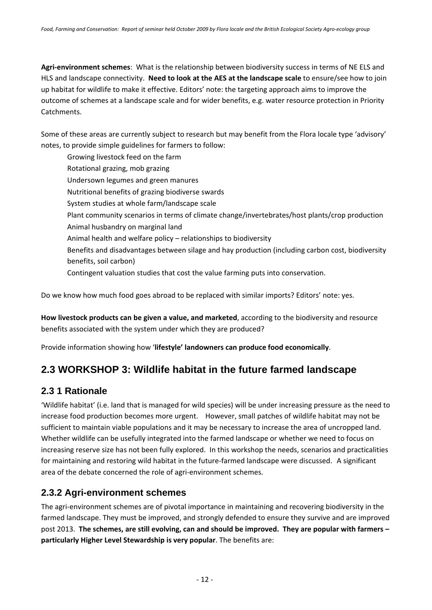**Agri‐environment schemes**: What is the relationship between biodiversity success in terms of NE ELS and HLS and landscape connectivity. **Need to look at the AES at the landscape scale** to ensure/see how to join up habitat for wildlife to make it effective. Editors' note: the targeting approach aims to improve the outcome of schemes at a landscape scale and for wider benefits, e.g. water resource protection in Priority Catchments.

Some of these areas are currently subject to research but may benefit from the Flora locale type 'advisory' notes, to provide simple guidelines for farmers to follow:

Growing livestock feed on the farm Rotational grazing, mob grazing Undersown legumes and green manures Nutritional benefits of grazing biodiverse swards System studies at whole farm/landscape scale Plant community scenarios in terms of climate change/invertebrates/host plants/crop production Animal husbandry on marginal land Animal health and welfare policy – relationships to biodiversity Benefits and disadvantages between silage and hay production (including carbon cost, biodiversity benefits, soil carbon) Contingent valuation studies that cost the value farming puts into conservation.

Do we know how much food goes abroad to be replaced with similar imports? Editors' note: yes.

**How livestock products can be given a value, and marketed**, according to the biodiversity and resource benefits associated with the system under which they are produced?

Provide information showing how '**lifestyle' landowners can produce food economically**.

## **2.3 WORKSHOP 3: Wildlife habitat in the future farmed landscape**

## **2.3 1 Rationale**

'Wildlife habitat' (i.e. land that is managed for wild species) will be under increasing pressure as the need to increase food production becomes more urgent. However, small patches of wildlife habitat may not be sufficient to maintain viable populations and it may be necessary to increase the area of uncropped land. Whether wildlife can be usefully integrated into the farmed landscape or whether we need to focus on increasing reserve size has not been fully explored. In this workshop the needs, scenarios and practicalities for maintaining and restoring wild habitat in the future‐farmed landscape were discussed. A significant area of the debate concerned the role of agri‐environment schemes.

## **2.3.2 Agri-environment schemes**

The agri‐environment schemes are of pivotal importance in maintaining and recovering biodiversity in the farmed landscape. They must be improved, and strongly defended to ensure they survive and are improved post 2013. **The schemes, are still evolving, can and should be improved. They are popular with farmers – particularly Higher Level Stewardship is very popular**. The benefits are: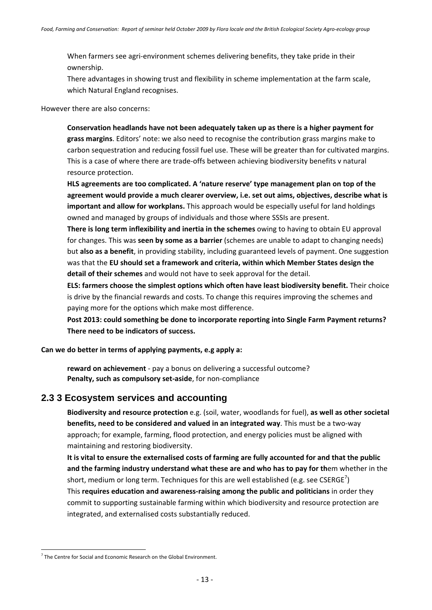When farmers see agri-environment schemes delivering benefits, they take pride in their ownership.

There advantages in showing trust and flexibility in scheme implementation at the farm scale, which Natural England recognises.

However there are also concerns:

**Conservation headlands have not been adequately taken up as there is a higher payment for grass margins**. Editors' note: we also need to recognise the contribution grass margins make to carbon sequestration and reducing fossil fuel use. These will be greater than for cultivated margins. This is a case of where there are trade‐offs between achieving biodiversity benefits v natural resource protection.

**HLS agreements are too complicated. A 'nature reserve' type management plan on top of the agreement would provide a much clearer overview, i.e. set out aims, objectives, describe what is important and allow for workplans.** This approach would be especially useful for land holdings owned and managed by groups of individuals and those where SSSIs are present.

**There is long term inflexibility and inertia in the schemes** owing to having to obtain EU approval for changes. This was **seen by some as a barrier** (schemes are unable to adapt to changing needs) but **also as a benefit**, in providing stability, including guaranteed levels of payment. One suggestion was that the **EU should set a framework and criteria, within which Member States design the detail of their schemes** and would not have to seek approval for the detail.

**ELS: farmers choose the simplest options which often have least biodiversity benefit.** Their choice is drive by the financial rewards and costs. To change this requires improving the schemes and paying more for the options which make most difference.

**Post 2013: could something be done to incorporate reporting into Single Farm Payment returns? There need to be indicators of success.**

**Can we do better in terms of applying payments, e.g apply a:**

**reward on achievement** ‐ pay a bonus on delivering a successful outcome? **Penalty, such as compulsory set‐aside**, for non‐compliance

#### **2.3 3 Ecosystem services and accounting**

**Biodiversity and resource protection** e.g. (soil, water, woodlands for fuel), **as well as other societal benefits, need to be considered and valued in an integrated way**. This must be a two‐way approach; for example, farming, flood protection, and energy policies must be aligned with maintaining and restoring biodiversity.

It is vital to ensure the externalised costs of farming are fully accounted for and that the public **and the farming industry understand what these are and who has to pay for th**em whether in the short, medium or long term. Techniques for this are well established (e.g. see  $CSERGE$ <sup>7</sup>) This **requires education and awareness‐raising among the public and politicians** in order they commit to supporting sustainable farming within which biodiversity and resource protection are integrated, and externalised costs substantially reduced.

 $7$  The Centre for Social and Economic Research on the Global Environment.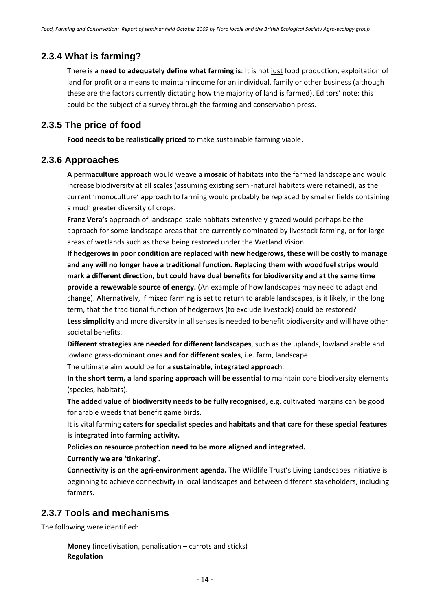#### **2.3.4 What is farming?**

There is a **need to adequately define what farming is**: It is not just food production, exploitation of land for profit or a means to maintain income for an individual, family or other business (although these are the factors currently dictating how the majority of land is farmed). Editors' note: this could be the subject of a survey through the farming and conservation press.

#### **2.3.5 The price of food**

**Food needs to be realistically priced** to make sustainable farming viable.

#### **2.3.6 Approaches**

**A permaculture approach** would weave a **mosaic** of habitats into the farmed landscape and would increase biodiversity at all scales (assuming existing semi‐natural habitats were retained), as the current 'monoculture' approach to farming would probably be replaced by smaller fields containing a much greater diversity of crops.

**Franz Vera's** approach of landscape‐scale habitats extensively grazed would perhaps be the approach for some landscape areas that are currently dominated by livestock farming, or for large areas of wetlands such as those being restored under the Wetland Vision.

**If hedgerows in poor condition are replaced with new hedgerows, these will be costly to manage and any will no longer have a traditional function. Replacing them with woodfuel strips would mark a different direction, but could have dual benefits for biodiversity and at the same time provide a rewewable source of energy.** (An example of how landscapes may need to adapt and change). Alternatively, if mixed farming is set to return to arable landscapes, is it likely, in the long term, that the traditional function of hedgerows (to exclude livestock) could be restored? **Less simplicity** and more diversity in all senses is needed to benefit biodiversity and will have other societal benefits.

**Different strategies are needed for different landscapes**, such as the uplands, lowland arable and lowland grass‐dominant ones **and for different scales**, i.e. farm, landscape

The ultimate aim would be for a **sustainable, integrated approach**.

**In the short term, a land sparing approach will be essential** to maintain core biodiversity elements (species, habitats).

**The added value of biodiversity needs to be fully recognised**, e.g. cultivated margins can be good for arable weeds that benefit game birds.

It is vital farming **caters for specialist species and habitats and that care for these special features is integrated into farming activity.** 

**Policies on resource protection need to be more aligned and integrated.**

#### **Currently we are 'tinkering'.**

**Connectivity is on the agri‐environment agenda.** The Wildlife Trust's Living Landscapes initiative is beginning to achieve connectivity in local landscapes and between different stakeholders, including farmers.

#### **2.3.7 Tools and mechanisms**

The following were identified:

**Money** (incetivisation, penalisation – carrots and sticks) **Regulation**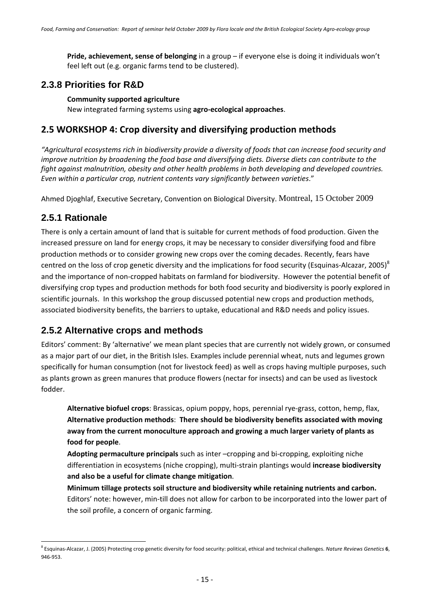**Pride, achievement, sense of belonging** in a group – if everyone else is doing it individuals won't feel left out (e.g. organic farms tend to be clustered).

## **2.3.8 Priorities for R&D**

#### **Community supported agriculture**

New integrated farming systems using **agro‐ecological approaches**.

## **2.5 WORKSHOP 4: Crop diversity and diversifying production methods**

*"Agricultural ecosystems rich in biodiversity provide a diversity of foods that can increase food security and improve nutrition by broadening the food base and diversifying diets. Diverse diets can contribute to the fight against malnutrition, obesity and other health problems in both developing and developed countries. Even within a particular crop, nutrient contents vary significantly between varieties*."

Ahmed Djoghlaf, Executive Secretary, Convention on Biological Diversity. Montreal, 15 October 2009

## **2.5.1 Rationale**

There is only a certain amount of land that is suitable for current methods of food production. Given the increased pressure on land for energy crops, it may be necessary to consider diversifying food and fibre production methods or to consider growing new crops over the coming decades. Recently, fears have centred on the loss of crop genetic diversity and the implications for food security (Esquinas-Alcazar, 2005)<sup>8</sup> and the importance of non‐cropped habitats on farmland for biodiversity. However the potential benefit of diversifying crop types and production methods for both food security and biodiversity is poorly explored in scientific journals. In this workshop the group discussed potential new crops and production methods, associated biodiversity benefits, the barriers to uptake, educational and R&D needs and policy issues.

## **2.5.2 Alternative crops and methods**

Editors' comment: By 'alternative' we mean plant species that are currently not widely grown, or consumed as a major part of our diet, in the British Isles. Examples include perennial wheat, nuts and legumes grown specifically for human consumption (not for livestock feed) as well as crops having multiple purposes, such as plants grown as green manures that produce flowers (nectar for insects) and can be used as livestock fodder.

**Alternative biofuel crops**: Brassicas, opium poppy, hops, perennial rye‐grass, cotton, hemp, flax, **Alternative production methods**: **There should be biodiversity benefits associated with moving away from the current monoculture approach and growing a much larger variety of plants as food for people**.

**Adopting permaculture principals** such as inter –cropping and bi‐cropping, exploiting niche differentiation in ecosystems (niche cropping), multi‐strain plantings would **increase biodiversity and also be a useful for climate change mitigation**.

**Minimum tillage protects soil structure and biodiversity while retaining nutrients and carbon.** Editors' note: however, min-till does not allow for carbon to be incorporated into the lower part of the soil profile, a concern of organic farming.

<sup>8</sup> Esquinas‐Alcazar, J. (2005) Protecting crop genetic diversity for food security: political, ethical and technical challenges. *Nature Reviews Genetics* **6**, 946‐953.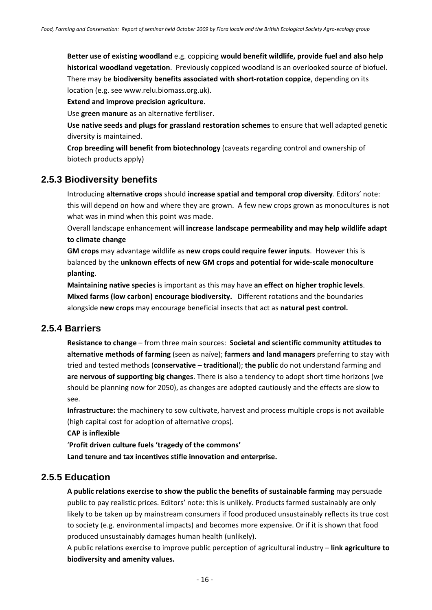**Better use of existing woodland** e.g. coppicing **would benefit wildlife, provide fuel and also help historical woodland vegetation**. Previously coppiced woodland is an overlooked source of biofuel. There may be **biodiversity benefits associated with short‐rotation coppice**, depending on its location (e.g. see www.relu.biomass.org.uk).

**Extend and improve precision agriculture**.

Use **green manure** as an alternative fertiliser.

**Use native seeds and plugs for grassland restoration schemes** to ensure that well adapted genetic diversity is maintained.

**Crop breeding will benefit from biotechnology** (caveats regarding control and ownership of biotech products apply)

#### **2.5.3 Biodiversity benefits**

Introducing **alternative crops** should **increase spatial and temporal crop diversity**. Editors' note: this will depend on how and where they are grown. A few new crops grown as monocultures is not what was in mind when this point was made.

Overall landscape enhancement will **increase landscape permeability and may help wildlife adapt to climate change** 

**GM crops** may advantage wildlife as **new crops could require fewer inputs**. However this is balanced by the **unknown effects of new GM crops and potential for wide‐scale monoculture planting**.

**Maintaining native species** is important as this may have **an effect on higher trophic levels**. **Mixed farms (low carbon) encourage biodiversity.** Different rotations and the boundaries alongside **new crops** may encourage beneficial insects that act as **natural pest control.**

#### **2.5.4 Barriers**

**Resistance to change** – from three main sources: **Societal and scientific community attitudes to alternative methods of farming** (seen as naïve); **farmers and land managers** preferring to stay with tried and tested methods (**conservative – traditional**); **the public** do not understand farming and **are nervous of supporting big changes**. There is also a tendency to adopt short time horizons (we should be planning now for 2050), as changes are adopted cautiously and the effects are slow to see.

**Infrastructure:** the machinery to sow cultivate, harvest and process multiple crops is not available (high capital cost for adoption of alternative crops).

**CAP is inflexible**

'**Profit driven culture fuels 'tragedy of the commons' Land tenure and tax incentives stifle innovation and enterprise.**

#### **2.5.5 Education**

**A public relations exercise to show the public the benefits of sustainable farming** may persuade public to pay realistic prices. Editors' note: this is unlikely. Products farmed sustainably are only likely to be taken up by mainstream consumers if food produced unsustainably reflects its true cost to society (e.g. environmental impacts) and becomes more expensive. Or if it is shown that food produced unsustainably damages human health (unlikely).

A public relations exercise to improve public perception of agricultural industry – **link agriculture to biodiversity and amenity values.**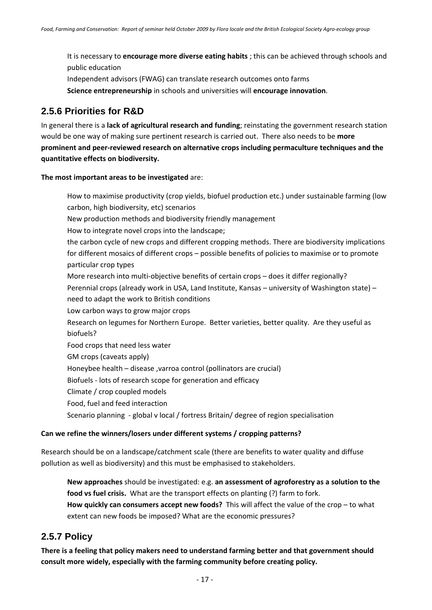It is necessary to **encourage more diverse eating habits** ; this can be achieved through schools and public education Independent advisors (FWAG) can translate research outcomes onto farms **Science entrepreneurship** in schools and universities will **encourage innovation**.

#### **2.5.6 Priorities for R&D**

In general there is a **lack of agricultural research and funding**; reinstating the government research station would be one way of making sure pertinent research is carried out. There also needs to be **more prominent and peer‐reviewed research on alternative crops including permaculture techniques and the quantitative effects on biodiversity.**

**The most important areas to be investigated** are:

How to maximise productivity (crop yields, biofuel production etc.) under sustainable farming (low carbon, high biodiversity, etc) scenarios New production methods and biodiversity friendly management How to integrate novel crops into the landscape; the carbon cycle of new crops and different cropping methods. There are biodiversity implications for different mosaics of different crops – possible benefits of policies to maximise or to promote particular crop types More research into multi-objective benefits of certain crops – does it differ regionally? Perennial crops (already work in USA, Land Institute, Kansas – university of Washington state) – need to adapt the work to British conditions Low carbon ways to grow major crops Research on legumes for Northern Europe. Better varieties, better quality. Are they useful as biofuels? Food crops that need less water GM crops (caveats apply) Honeybee health – disease ,varroa control (pollinators are crucial) Biofuels ‐ lots of research scope for generation and efficacy Climate / crop coupled models Food, fuel and feed interaction Scenario planning ‐ global v local / fortress Britain/ degree of region specialisation

### **Can we refine the winners/losers under different systems / cropping patterns?**

Research should be on a landscape/catchment scale (there are benefits to water quality and diffuse pollution as well as biodiversity) and this must be emphasised to stakeholders.

**New approaches** should be investigated: e.g. **an assessment of agroforestry as a solution to the food vs fuel crisis.** What are the transport effects on planting (?) farm to fork. **How quickly can consumers accept new foods?** This will affect the value of the crop – to what extent can new foods be imposed? What are the economic pressures?

## **2.5.7 Policy**

**There is a feeling that policy makers need to understand farming better and that government should consult more widely, especially with the farming community before creating policy.**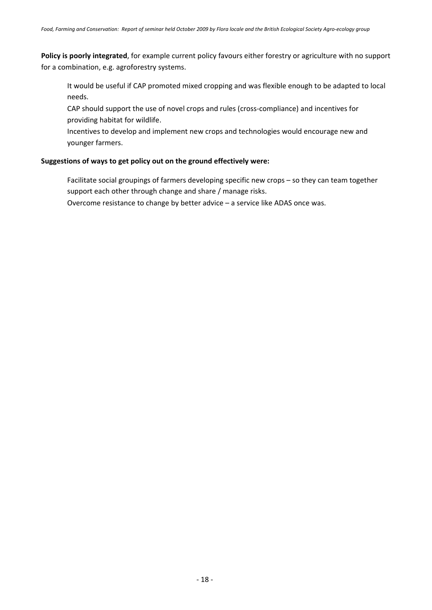**Policy is poorly integrated**, for example current policy favours either forestry or agriculture with no support for a combination, e.g. agroforestry systems.

It would be useful if CAP promoted mixed cropping and was flexible enough to be adapted to local needs.

CAP should support the use of novel crops and rules (cross‐compliance) and incentives for providing habitat for wildlife.

Incentives to develop and implement new crops and technologies would encourage new and younger farmers.

#### **Suggestions of ways to get policy out on the ground effectively were:**

Facilitate social groupings of farmers developing specific new crops – so they can team together support each other through change and share / manage risks.

Overcome resistance to change by better advice – a service like ADAS once was.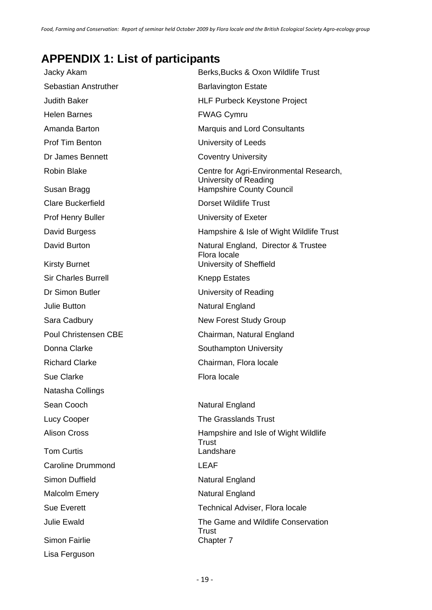# **APPENDIX 1: List of participants**

| Jacky Akam                           | Berks, Bucks & Oxon Wildlife Trust                                             |  |  |
|--------------------------------------|--------------------------------------------------------------------------------|--|--|
| Sebastian Anstruther                 | <b>Barlavington Estate</b>                                                     |  |  |
| <b>Judith Baker</b>                  | <b>HLF Purbeck Keystone Project</b>                                            |  |  |
| <b>Helen Barnes</b>                  | <b>FWAG Cymru</b>                                                              |  |  |
| Amanda Barton                        | <b>Marquis and Lord Consultants</b>                                            |  |  |
| <b>Prof Tim Benton</b>               | University of Leeds                                                            |  |  |
| Dr James Bennett                     | <b>Coventry University</b>                                                     |  |  |
| <b>Robin Blake</b>                   | Centre for Agri-Environmental Research,<br>University of Reading               |  |  |
| Susan Bragg                          | <b>Hampshire County Council</b>                                                |  |  |
| <b>Clare Buckerfield</b>             | <b>Dorset Wildlife Trust</b>                                                   |  |  |
| Prof Henry Buller                    | University of Exeter                                                           |  |  |
| David Burgess                        | Hampshire & Isle of Wight Wildlife Trust                                       |  |  |
| David Burton<br><b>Kirsty Burnet</b> | Natural England, Director & Trustee<br>Flora locale<br>University of Sheffield |  |  |
| <b>Sir Charles Burrell</b>           | <b>Knepp Estates</b>                                                           |  |  |
| Dr Simon Butler                      | University of Reading                                                          |  |  |
| <b>Julie Button</b>                  | Natural England                                                                |  |  |
| Sara Cadbury                         | <b>New Forest Study Group</b>                                                  |  |  |
| <b>Poul Christensen CBE</b>          | Chairman, Natural England                                                      |  |  |
| Donna Clarke                         | Southampton University                                                         |  |  |
| <b>Richard Clarke</b>                | Chairman, Flora locale                                                         |  |  |
| Sue Clarke                           | Flora locale                                                                   |  |  |
| Natasha Collings                     |                                                                                |  |  |
| Sean Cooch                           | Natural England                                                                |  |  |
| Lucy Cooper                          | The Grasslands Trust                                                           |  |  |
| <b>Alison Cross</b>                  | Hampshire and Isle of Wight Wildlife<br>Trust                                  |  |  |
| <b>Tom Curtis</b>                    | Landshare                                                                      |  |  |
| <b>Caroline Drummond</b>             | <b>LEAF</b>                                                                    |  |  |
| <b>Simon Duffield</b>                | Natural England                                                                |  |  |
| <b>Malcolm Emery</b>                 | Natural England                                                                |  |  |
| <b>Sue Everett</b>                   | Technical Adviser, Flora locale                                                |  |  |
| <b>Julie Ewald</b>                   | The Game and Wildlife Conservation                                             |  |  |
| Simon Fairlie                        | Trust<br>Chapter 7                                                             |  |  |
| Lisa Ferguson                        |                                                                                |  |  |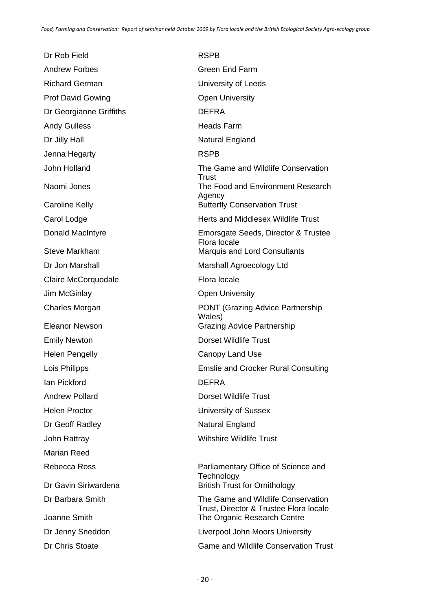Dr Rob Field RSPB Andrew Forbes Green End Farm Richard German **Exercise State Control** University of Leeds Prof David Gowing **Canadian Communists** Open University Dr Georgianne Griffiths **DEFRA** Andy Gulless **Heads** Farm Dr Jilly Hall Natural England Jenna Hegarty **RSPB** Claire McCorquodale Flora locale Jim McGinlay **Open University** Emily Newton **Dorset Wildlife Trust** Helen Pengelly **Canopy Land Use** Ian Pickford **DEFRA** Andrew Pollard **Dorset Wildlife Trust** Helen Proctor **National Executive Contract Contract University of Sussex** Dr Geoff Radley Natural England John Rattray **Wiltshire Wildlife Trust** Marian Reed

John Holland The Game and Wildlife Conservation **Trust** Naomi Jones The Food and Environment Research Agency Caroline Kelly **Butterfly Conservation Trust** Carol Lodge **Carol Lodge Herts and Middlesex Wildlife Trust** Donald MacIntyre Emorsgate Seeds, Director & Trustee Flora locale Steve Markham Marquis and Lord Consultants Dr Jon Marshall Marshall Marshall Agroecology Ltd Charles Morgan **PONT** (Grazing Advice Partnership Wales) Eleanor Newson Grazing Advice Partnership Lois Philipps Emslie and Crocker Rural Consulting Rebecca Ross **Parliamentary Office of Science and Technology** Dr Gavin Siriwardena **British Trust for Ornithology** Dr Barbara Smith The Game and Wildlife Conservation Trust, Director & Trustee Flora locale Joanne Smith The Organic Research Centre Dr Jenny Sneddon **Liverpool John Moors University** 

Dr Chris Stoate Game and Wildlife Conservation Trust